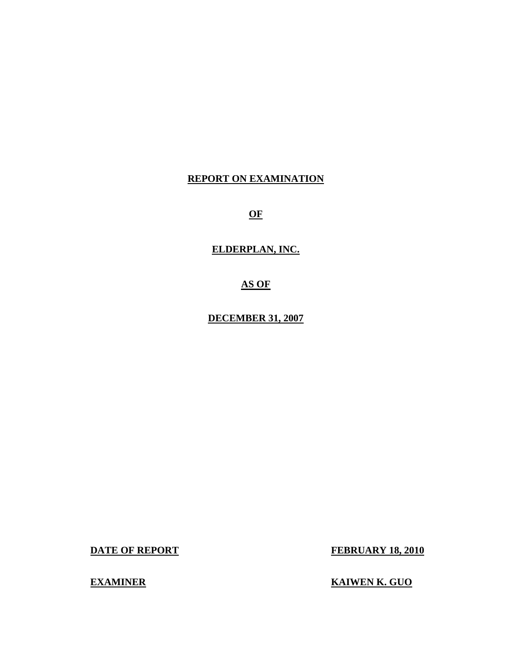## **REPORT ON EXAMINATION**

**OF** 

**ELDERPLAN, INC.** 

**AS OF** 

**DECEMBER 31, 2007** 

**DATE OF REPORT FEBRUARY 18, 2010** 

**EXAMINER EXAMINER EXAMINER**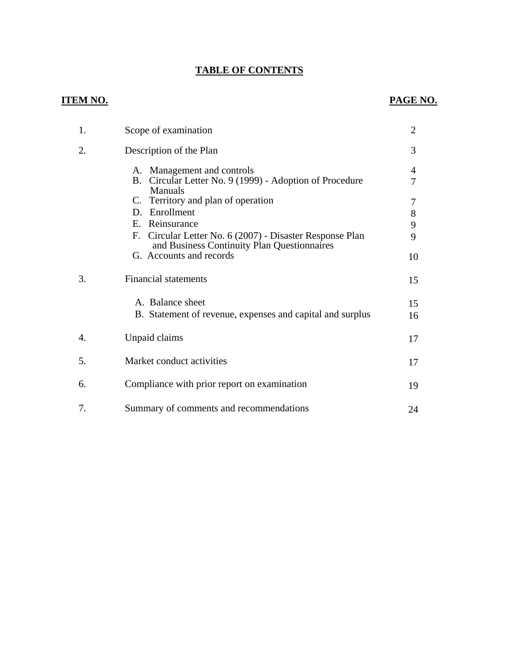## **TABLE OF CONTENTS**

### **ITEM NO.**

## **PAGE NO.**

| 1. | Scope of examination                                                                                       | $\overline{2}$ |
|----|------------------------------------------------------------------------------------------------------------|----------------|
| 2. | Description of the Plan                                                                                    | 3              |
|    | A. Management and controls<br>Circular Letter No. 9 (1999) - Adoption of Procedure<br>B.<br>Manuals        | 4<br>7         |
|    | C. Territory and plan of operation                                                                         | 7              |
|    | D. Enrollment                                                                                              | 8              |
|    | E. Reinsurance                                                                                             | 9              |
|    | Circular Letter No. 6 (2007) - Disaster Response Plan<br>F.<br>and Business Continuity Plan Questionnaires | 9              |
|    | G. Accounts and records                                                                                    | 10             |
| 3. | <b>Financial statements</b>                                                                                | 15             |
|    | A. Balance sheet                                                                                           | 15             |
|    | B. Statement of revenue, expenses and capital and surplus                                                  | 16             |
| 4. | Unpaid claims                                                                                              | 17             |
| 5. | Market conduct activities                                                                                  | 17             |
| 6. | Compliance with prior report on examination                                                                | 19             |
| 7. | Summary of comments and recommendations                                                                    | 24             |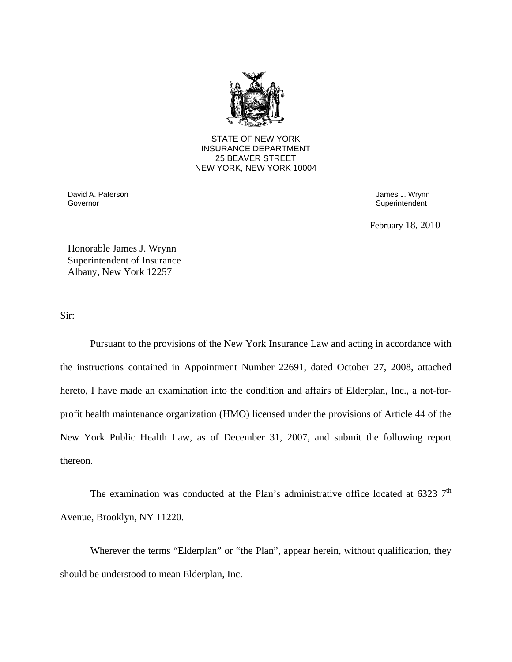

STATE OF NEW YORK INSURANCE DEPARTMENT 25 BEAVER STREET NEW YORK, NEW YORK 10004

David A. Paterson James J. Wrynn Governor Superintendent Superintendent Superintendent Superintendent Superintendent Superintendent Superintendent

February 18, 2010

Honorable James J. Wrynn Superintendent of Insurance Albany, New York 12257

Sir:

Pursuant to the provisions of the New York Insurance Law and acting in accordance with the instructions contained in Appointment Number 22691, dated October 27, 2008, attached hereto, I have made an examination into the condition and affairs of Elderplan, Inc., a not-forprofit health maintenance organization (HMO) licensed under the provisions of Article 44 of the New York Public Health Law, as of December 31, 2007, and submit the following report thereon.

The examination was conducted at the Plan's administrative office located at 6323  $7<sup>th</sup>$ Avenue, Brooklyn, NY 11220.

Wherever the terms "Elderplan" or "the Plan", appear herein, without qualification, they should be understood to mean Elderplan, Inc.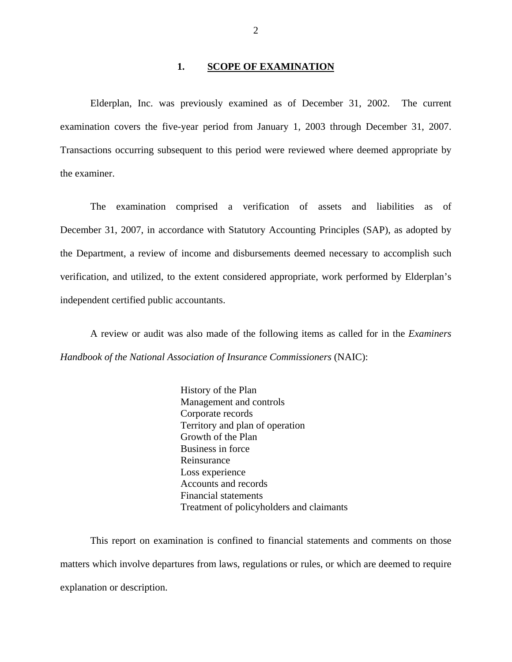#### **1. SCOPE OF EXAMINATION**

Elderplan, Inc. was previously examined as of December 31, 2002. The current examination covers the five-year period from January 1, 2003 through December 31, 2007. Transactions occurring subsequent to this period were reviewed where deemed appropriate by the examiner.

The examination comprised a verification of assets and liabilities as of December 31, 2007, in accordance with Statutory Accounting Principles (SAP), as adopted by the Department, a review of income and disbursements deemed necessary to accomplish such verification, and utilized, to the extent considered appropriate, work performed by Elderplan's independent certified public accountants.

A review or audit was also made of the following items as called for in the *Examiners Handbook of the National Association of Insurance Commissioners* (NAIC):

> History of the Plan Management and controls Corporate records Territory and plan of operation Growth of the Plan Business in force Reinsurance Loss experience Accounts and records Financial statements Treatment of policyholders and claimants

This report on examination is confined to financial statements and comments on those matters which involve departures from laws, regulations or rules, or which are deemed to require explanation or description.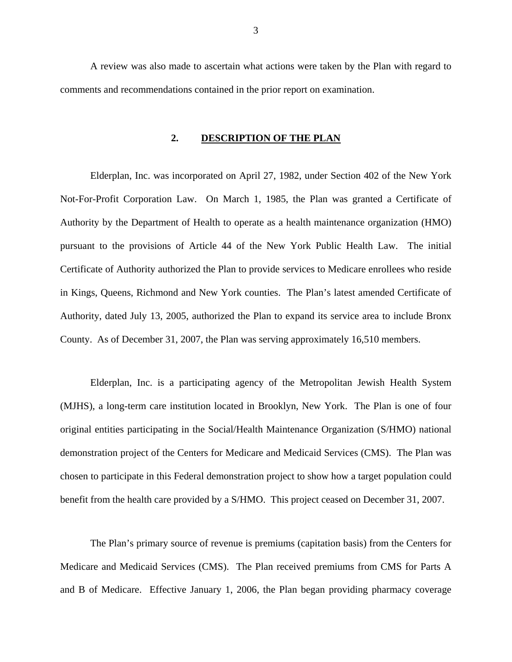A review was also made to ascertain what actions were taken by the Plan with regard to comments and recommendations contained in the prior report on examination.

#### **2. DESCRIPTION OF THE PLAN**

Elderplan, Inc. was incorporated on April 27, 1982, under Section 402 of the New York Not-For-Profit Corporation Law. On March 1, 1985, the Plan was granted a Certificate of Authority by the Department of Health to operate as a health maintenance organization (HMO) pursuant to the provisions of Article 44 of the New York Public Health Law. The initial Certificate of Authority authorized the Plan to provide services to Medicare enrollees who reside in Kings, Queens, Richmond and New York counties. The Plan's latest amended Certificate of Authority, dated July 13, 2005, authorized the Plan to expand its service area to include Bronx County. As of December 31, 2007, the Plan was serving approximately 16,510 members.

Elderplan, Inc. is a participating agency of the Metropolitan Jewish Health System (MJHS), a long-term care institution located in Brooklyn, New York. The Plan is one of four original entities participating in the Social/Health Maintenance Organization (S/HMO) national demonstration project of the Centers for Medicare and Medicaid Services (CMS). The Plan was chosen to participate in this Federal demonstration project to show how a target population could benefit from the health care provided by a S/HMO. This project ceased on December 31, 2007.

The Plan's primary source of revenue is premiums (capitation basis) from the Centers for Medicare and Medicaid Services (CMS). The Plan received premiums from CMS for Parts A and B of Medicare. Effective January 1, 2006, the Plan began providing pharmacy coverage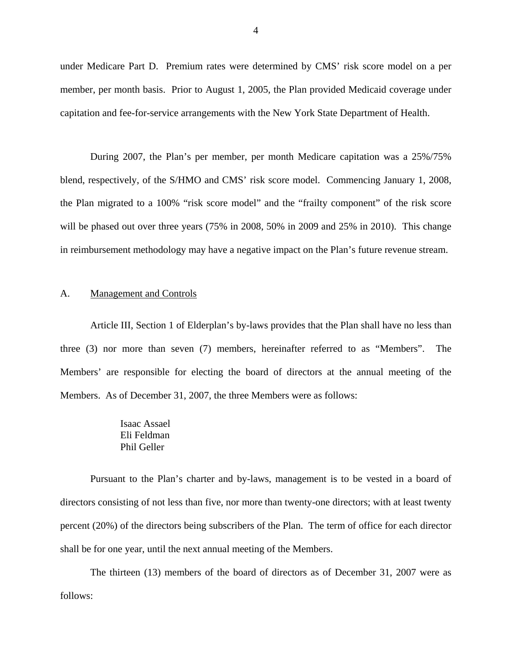<span id="page-5-0"></span>under Medicare Part D. Premium rates were determined by CMS' risk score model on a per member, per month basis. Prior to August 1, 2005, the Plan provided Medicaid coverage under capitation and fee-for-service arrangements with the New York State Department of Health.

During 2007, the Plan's per member, per month Medicare capitation was a 25%/75% blend, respectively, of the S/HMO and CMS' risk score model. Commencing January 1, 2008, the Plan migrated to a 100% "risk score model" and the "frailty component" of the risk score will be phased out over three years (75% in 2008, 50% in 2009 and 25% in 2010). This change in reimbursement methodology may have a negative impact on the Plan's future revenue stream.

#### A. Management and Controls

Article III, Section 1 of Elderplan's by-laws provides that the Plan shall have no less than three (3) nor more than seven (7) members, hereinafter referred to as "Members". The Members' are responsible for electing the board of directors at the annual meeting of the Members. As of December 31, 2007, the three Members were as follows:

> Isaac Assael Eli Feldman Phil Geller

Pursuant to the Plan's charter and by-laws, management is to be vested in a board of directors consisting of not less than five, nor more than twenty-one directors; with at least twenty percent (20%) of the directors being subscribers of the Plan. The term of office for each director shall be for one year, until the next annual meeting of the Members.

The thirteen (13) members of the board of directors as of December 31, 2007 were as follows: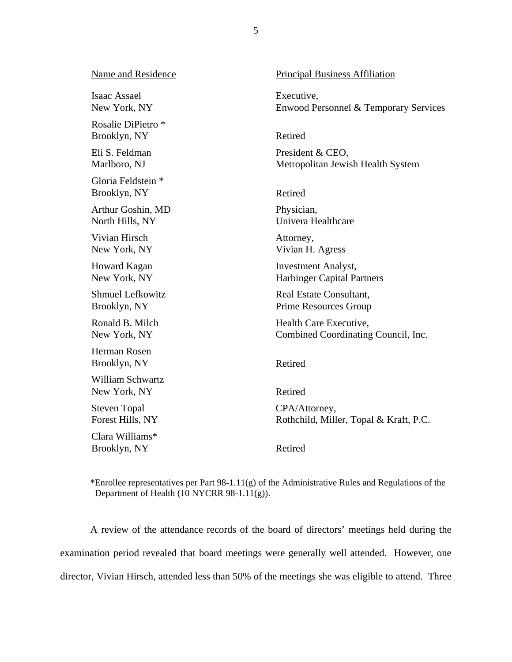| Name and Residence                      | Principal Business Affiliation         |
|-----------------------------------------|----------------------------------------|
| Isaac Assael                            | Executive,                             |
| New York, NY                            | Enwood Personnel & Temporary Services  |
| Rosalie DiPietro *<br>Brooklyn, NY      | Retired                                |
| Eli S. Feldman                          | President & CEO,                       |
| Marlboro, NJ                            | Metropolitan Jewish Health System      |
| Gloria Feldstein *<br>Brooklyn, NY      | Retired                                |
| Arthur Goshin, MD                       | Physician,                             |
| North Hills, NY                         | Univera Healthcare                     |
| Vivian Hirsch                           | Attorney,                              |
| New York, NY                            | Vivian H. Agress                       |
| Howard Kagan                            | <b>Investment Analyst,</b>             |
| New York, NY                            | <b>Harbinger Capital Partners</b>      |
| <b>Shmuel Lefkowitz</b>                 | Real Estate Consultant,                |
| Brooklyn, NY                            | Prime Resources Group                  |
| Ronald B. Milch                         | Health Care Executive,                 |
| New York, NY                            | Combined Coordinating Council, Inc.    |
| <b>Herman Rosen</b><br>Brooklyn, NY     | Retired                                |
| <b>William Schwartz</b><br>New York, NY | Retired                                |
| <b>Steven Topal</b>                     | CPA/Attorney,                          |
| Forest Hills, NY                        | Rothchild, Miller, Topal & Kraft, P.C. |
| Clara Williams*<br>Brooklyn, NY         | Retired                                |

\*Enrollee representatives per Part 98-1.11(g) of the Administrative Rules and Regulations of the Department of Health (10 NYCRR 98-1.11(g)).

A review of the attendance records of the board of directors' meetings held during the examination period revealed that board meetings were generally well attended. However, one director, Vivian Hirsch, attended less than 50% of the meetings she was eligible to attend. Three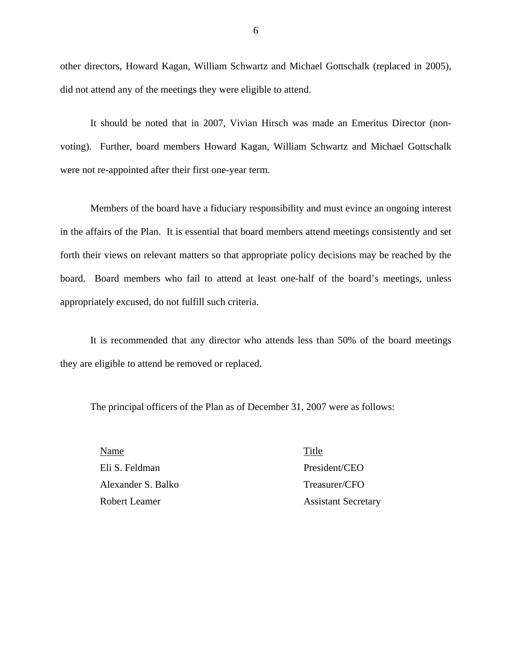other directors, Howard Kagan, William Schwartz and Michael Gottschalk (replaced in 2005), did not attend any of the meetings they were eligible to attend.

It should be noted that in 2007, Vivian Hirsch was made an Emeritus Director (nonvoting). Further, board members Howard Kagan, William Schwartz and Michael Gottschalk were not re-appointed after their first one-year term.

Members of the board have a fiduciary responsibility and must evince an ongoing interest in the affairs of the Plan. It is essential that board members attend meetings consistently and set forth their views on relevant matters so that appropriate policy decisions may be reached by the board. Board members who fail to attend at least one-half of the board's meetings, unless appropriately excused, do not fulfill such criteria.

It is recommended that any director who attends less than 50% of the board meetings they are eligible to attend be removed or replaced.

The principal officers of the Plan as of December 31, 2007 were as follows:

Name Title Eli S. Feldman President/CEO Alexander S. Balko Treasurer/CFO Robert Leamer Assistant Secretary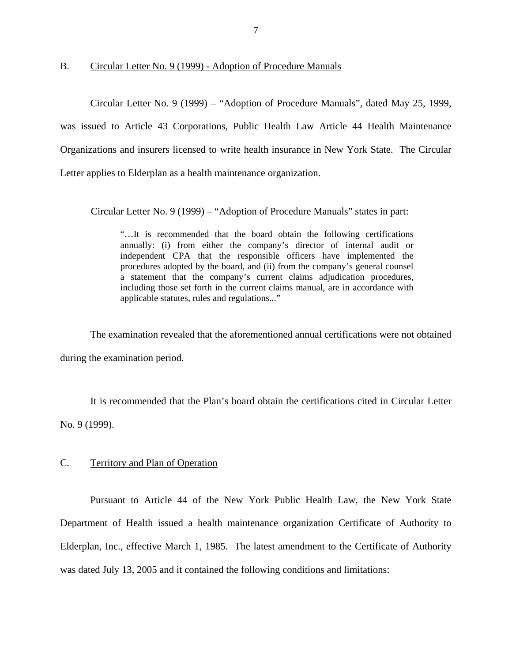<span id="page-8-0"></span>B. Circular Letter No. 9 (1999) - Adoption of Procedure Manuals

Circular Letter No. 9 (1999) – "Adoption of Procedure Manuals", dated May 25, 1999, was issued to Article 43 Corporations, Public Health Law Article 44 Health Maintenance Organizations and insurers licensed to write health insurance in New York State. The Circular Letter applies to Elderplan as a health maintenance organization.

Circular Letter No. 9 (1999) – "Adoption of Procedure Manuals" states in part:

"…It is recommended that the board obtain the following certifications annually: (i) from either the company's director of internal audit or independent CPA that the responsible officers have implemented the procedures adopted by the board, and (ii) from the company's general counsel a statement that the company's current claims adjudication procedures, including those set forth in the current claims manual, are in accordance with applicable statutes, rules and regulations..."

The examination revealed that the aforementioned annual certifications were not obtained during the examination period.

It is recommended that the Plan's board obtain the certifications cited in Circular Letter No. 9 (1999).

### C. Territory and Plan of Operation

Pursuant to Article 44 of the New York Public Health Law, the New York State Department of Health issued a health maintenance organization Certificate of Authority to Elderplan, Inc., effective March 1, 1985. The latest amendment to the Certificate of Authority was dated July 13, 2005 and it contained the following conditions and limitations: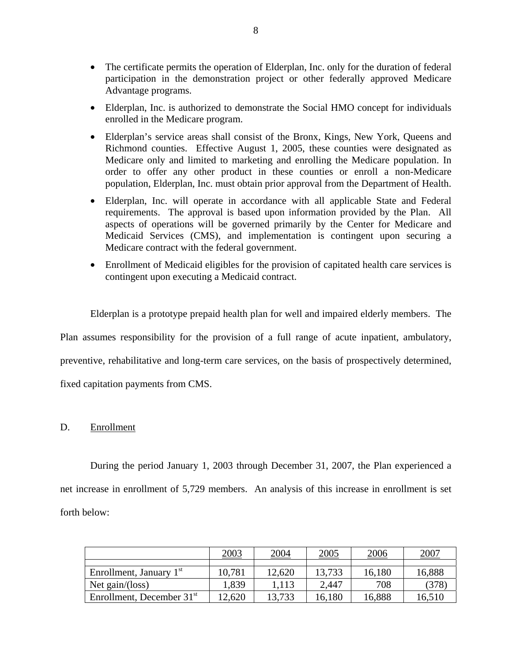- The certificate permits the operation of Elderplan, Inc. only for the duration of federal participation in the demonstration project or other federally approved Medicare Advantage programs.
- Elderplan, Inc. is authorized to demonstrate the Social HMO concept for individuals enrolled in the Medicare program.
- Elderplan's service areas shall consist of the Bronx, Kings, New York, Queens and Richmond counties. Effective August 1, 2005, these counties were designated as Medicare only and limited to marketing and enrolling the Medicare population. In order to offer any other product in these counties or enroll a non-Medicare population, Elderplan, Inc. must obtain prior approval from the Department of Health.
- Elderplan, Inc. will operate in accordance with all applicable State and Federal requirements. The approval is based upon information provided by the Plan. All aspects of operations will be governed primarily by the Center for Medicare and Medicaid Services (CMS), and implementation is contingent upon securing a Medicare contract with the federal government.
- Enrollment of Medicaid eligibles for the provision of capitated health care services is contingent upon executing a Medicaid contract.

Elderplan is a prototype prepaid health plan for well and impaired elderly members. The Plan assumes responsibility for the provision of a full range of acute inpatient, ambulatory, preventive, rehabilitative and long-term care services, on the basis of prospectively determined, fixed capitation payments from CMS.

## D. Enrollment

During the period January 1, 2003 through December 31, 2007, the Plan experienced a net increase in enrollment of 5,729 members. An analysis of this increase in enrollment is set forth below:

|                             | 2003   | 2004   | 2005   | 2006   | 2007   |
|-----------------------------|--------|--------|--------|--------|--------|
|                             |        |        |        |        |        |
| Enrollment, January $1st$   | 10,781 | 12,620 | 13,733 | 16,180 | 16,888 |
| Net gain/(loss)             | 1,839  | 1.113  | 2,447  | 708    | (378)  |
| Enrollment, December $31st$ | 12,620 | 13,733 | 16,180 | 16,888 | 16,510 |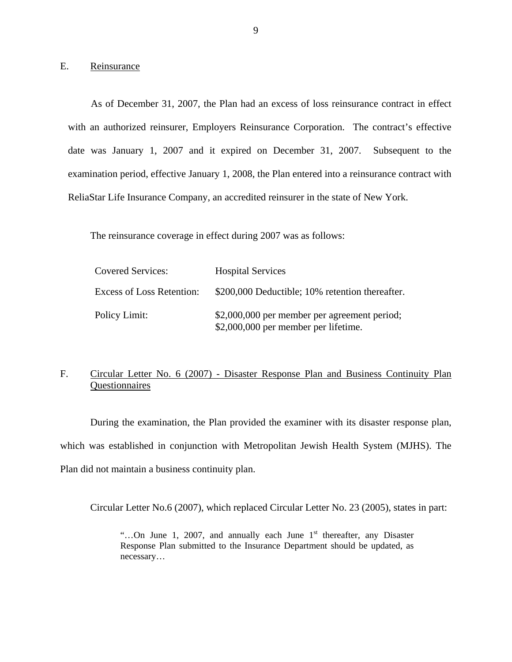E. Reinsurance

As of December 31, 2007, the Plan had an excess of loss reinsurance contract in effect with an authorized reinsurer, Employers Reinsurance Corporation. The contract's effective date was January 1, 2007 and it expired on December 31, 2007. Subsequent to the examination period, effective January 1, 2008, the Plan entered into a reinsurance contract with ReliaStar Life Insurance Company, an accredited reinsurer in the state of New York.

The reinsurance coverage in effect during 2007 was as follows:

| <b>Covered Services:</b>         | <b>Hospital Services</b>                                                             |
|----------------------------------|--------------------------------------------------------------------------------------|
| <b>Excess of Loss Retention:</b> | \$200,000 Deductible; 10% retention thereafter.                                      |
| Policy Limit:                    | \$2,000,000 per member per agreement period;<br>\$2,000,000 per member per lifetime. |

## F. Circular Letter No. 6 (2007) - Disaster Response Plan and Business Continuity Plan Questionnaires

During the examination, the Plan provided the examiner with its disaster response plan, which was established in conjunction with Metropolitan Jewish Health System (MJHS). The Plan did not maintain a business continuity plan.

Circular Letter No.6 (2007), which replaced Circular Letter No. 23 (2005), states in part:

"...On June 1, 2007, and annually each June  $1<sup>st</sup>$  thereafter, any Disaster Response Plan submitted to the Insurance Department should be updated, as necessary…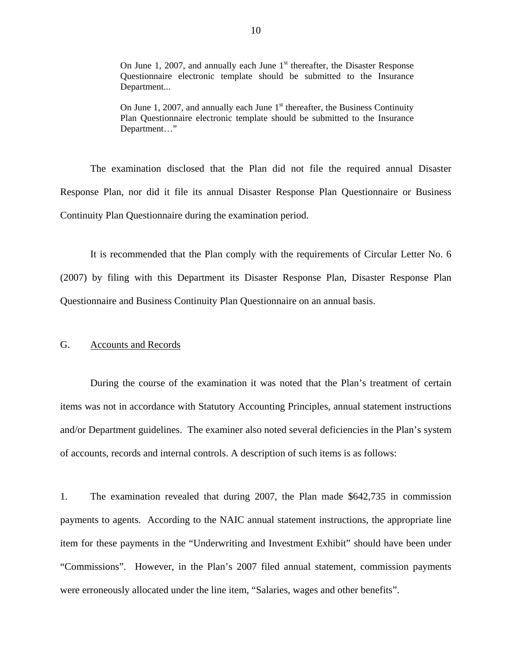<span id="page-11-0"></span>On June 1, 2007, and annually each June  $1<sup>st</sup>$  thereafter, the Disaster Response Questionnaire electronic template should be submitted to the Insurance Department...

On June 1, 2007, and annually each June  $1<sup>st</sup>$  thereafter, the Business Continuity Plan Questionnaire electronic template should be submitted to the Insurance Department…"

The examination disclosed that the Plan did not file the required annual Disaster Response Plan, nor did it file its annual Disaster Response Plan Questionnaire or Business Continuity Plan Questionnaire during the examination period.

It is recommended that the Plan comply with the requirements of Circular Letter No. 6 (2007) by filing with this Department its Disaster Response Plan, Disaster Response Plan Questionnaire and Business Continuity Plan Questionnaire on an annual basis.

#### G. Accounts and Records

During the course of the examination it was noted that the Plan's treatment of certain items was not in accordance with Statutory Accounting Principles, annual statement instructions and/or Department guidelines. The examiner also noted several deficiencies in the Plan's system of accounts, records and internal controls. A description of such items is as follows:

1. The examination revealed that during 2007, the Plan made \$642,735 in commission payments to agents. According to the NAIC annual statement instructions, the appropriate line item for these payments in the "Underwriting and Investment Exhibit" should have been under "Commissions". However, in the Plan's 2007 filed annual statement, commission payments were erroneously allocated under the line item, "Salaries, wages and other benefits".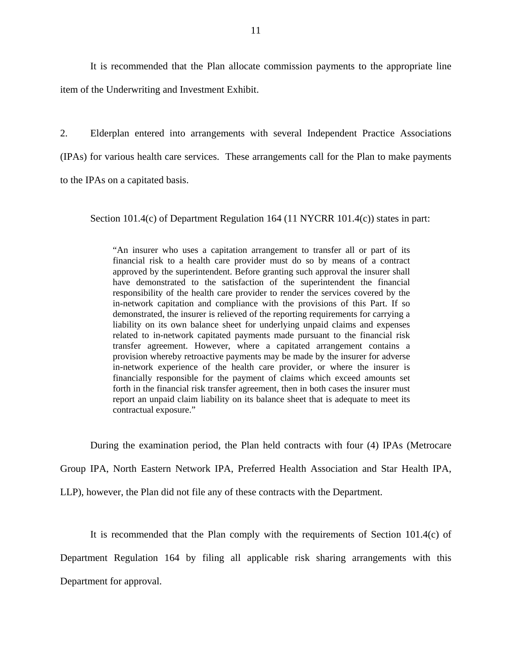It is recommended that the Plan allocate commission payments to the appropriate line item of the Underwriting and Investment Exhibit.

2. Elderplan entered into arrangements with several Independent Practice Associations (IPAs) for various health care services. These arrangements call for the Plan to make payments to the IPAs on a capitated basis.

Section 101.4(c) of Department Regulation 164 (11 NYCRR 101.4(c)) states in part:

"An insurer who uses a capitation arrangement to transfer all or part of its financial risk to a health care provider must do so by means of a contract approved by the superintendent. Before granting such approval the insurer shall have demonstrated to the satisfaction of the superintendent the financial responsibility of the health care provider to render the services covered by the in-network capitation and compliance with the provisions of this Part. If so demonstrated, the insurer is relieved of the reporting requirements for carrying a liability on its own balance sheet for underlying unpaid claims and expenses related to in-network capitated payments made pursuant to the financial risk transfer agreement. However, where a capitated arrangement contains a provision whereby retroactive payments may be made by the insurer for adverse in-network experience of the health care provider, or where the insurer is financially responsible for the payment of claims which exceed amounts set forth in the financial risk transfer agreement, then in both cases the insurer must report an unpaid claim liability on its balance sheet that is adequate to meet its contractual exposure."

During the examination period, the Plan held contracts with four (4) IPAs (Metrocare

Group IPA, North Eastern Network IPA, Preferred Health Association and Star Health IPA,

LLP), however, the Plan did not file any of these contracts with the Department.

It is recommended that the Plan comply with the requirements of Section 101.4(c) of Department Regulation 164 by filing all applicable risk sharing arrangements with this Department for approval.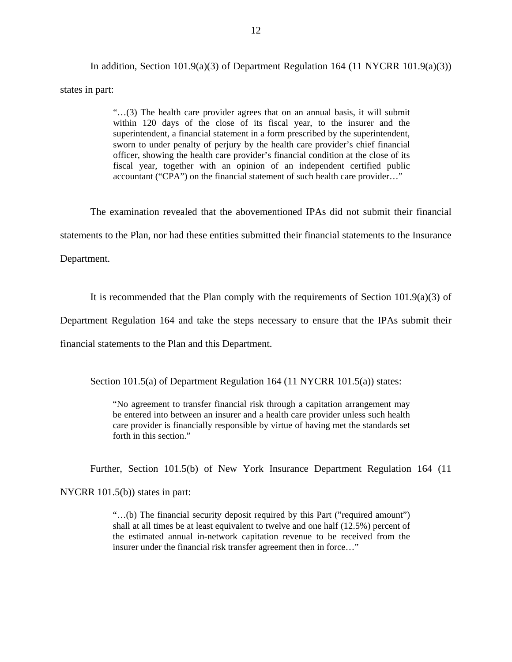In addition, Section 101.9(a)(3) of Department Regulation 164 (11 NYCRR 101.9(a)(3)) states in part:

> "…(3) The health care provider agrees that on an annual basis, it will submit within 120 days of the close of its fiscal year, to the insurer and the superintendent, a financial statement in a form prescribed by the superintendent, sworn to under penalty of perjury by the health care provider's chief financial officer, showing the health care provider's financial condition at the close of its fiscal year, together with an opinion of an independent certified public accountant ("CPA") on the financial statement of such health care provider…"

The examination revealed that the abovementioned IPAs did not submit their financial

statements to the Plan, nor had these entities submitted their financial statements to the Insurance

Department.

It is recommended that the Plan comply with the requirements of Section 101.9(a)(3) of

Department Regulation 164 and take the steps necessary to ensure that the IPAs submit their

financial statements to the Plan and this Department.

Section 101.5(a) of Department Regulation 164 (11 NYCRR 101.5(a)) states:

"No agreement to transfer financial risk through a capitation arrangement may be entered into between an insurer and a health care provider unless such health care provider is financially responsible by virtue of having met the standards set forth in this section."

Further, Section 101.5(b) of New York Insurance Department Regulation 164 (11

NYCRR 101.5(b)) states in part:

"…(b) The financial security deposit required by this Part ("required amount") shall at all times be at least equivalent to twelve and one half (12.5%) percent of the estimated annual in-network capitation revenue to be received from the insurer under the financial risk transfer agreement then in force…"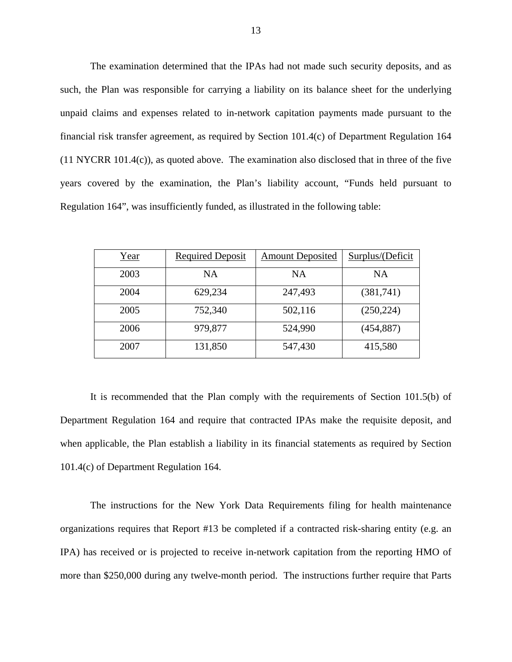The examination determined that the IPAs had not made such security deposits, and as such, the Plan was responsible for carrying a liability on its balance sheet for the underlying unpaid claims and expenses related to in-network capitation payments made pursuant to the financial risk transfer agreement, as required by Section 101.4(c) of Department Regulation 164 (11 NYCRR 101.4(c)), as quoted above. The examination also disclosed that in three of the five years covered by the examination, the Plan's liability account, "Funds held pursuant to Regulation 164", was insufficiently funded, as illustrated in the following table:

| Year | <b>Required Deposit</b> | <b>Amount Deposited</b> | Surplus/(Deficit |
|------|-------------------------|-------------------------|------------------|
| 2003 | <b>NA</b>               | <b>NA</b>               | <b>NA</b>        |
| 2004 | 629,234                 | 247,493                 | (381,741)        |
| 2005 | 752,340                 | 502,116                 | (250, 224)       |
| 2006 | 979,877                 | 524,990                 | (454, 887)       |
| 2007 | 131,850                 | 547,430                 | 415,580          |

It is recommended that the Plan comply with the requirements of Section 101.5(b) of Department Regulation 164 and require that contracted IPAs make the requisite deposit, and when applicable, the Plan establish a liability in its financial statements as required by Section 101.4(c) of Department Regulation 164.

The instructions for the New York Data Requirements filing for health maintenance organizations requires that Report #13 be completed if a contracted risk-sharing entity (e.g. an IPA) has received or is projected to receive in-network capitation from the reporting HMO of more than \$250,000 during any twelve-month period. The instructions further require that Parts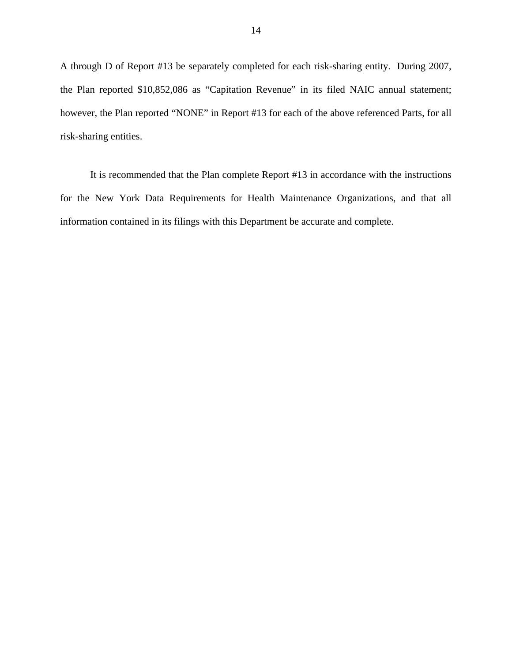A through D of Report #13 be separately completed for each risk-sharing entity. During 2007, the Plan reported \$10,852,086 as "Capitation Revenue" in its filed NAIC annual statement; however, the Plan reported "NONE" in Report #13 for each of the above referenced Parts, for all risk-sharing entities.

It is recommended that the Plan complete Report #13 in accordance with the instructions for the New York Data Requirements for Health Maintenance Organizations, and that all information contained in its filings with this Department be accurate and complete.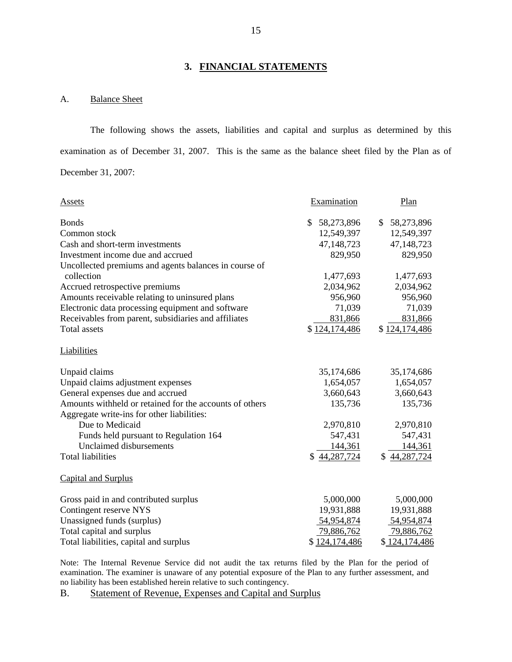#### **3. FINANCIAL STATEMENTS**

#### A. Balance Sheet

The following shows the assets, liabilities and capital and surplus as determined by this examination as of December 31, 2007. This is the same as the balance sheet filed by the Plan as of December 31, 2007:

| Assets                                                              | Examination      | Plan                       |
|---------------------------------------------------------------------|------------------|----------------------------|
| <b>Bonds</b>                                                        | \$<br>58,273,896 | 58,273,896<br>$\mathbb{S}$ |
| Common stock                                                        | 12,549,397       | 12,549,397                 |
| Cash and short-term investments                                     | 47,148,723       | 47,148,723                 |
| Investment income due and accrued                                   | 829,950          | 829,950                    |
| Uncollected premiums and agents balances in course of<br>collection | 1,477,693        | 1,477,693                  |
| Accrued retrospective premiums                                      | 2,034,962        | 2,034,962                  |
| Amounts receivable relating to uninsured plans                      | 956,960          | 956,960                    |
| Electronic data processing equipment and software                   | 71,039           | 71,039                     |
| Receivables from parent, subsidiaries and affiliates                | 831,866          | 831,866                    |
| <b>Total assets</b>                                                 | \$124,174,486    | \$124,174,486              |
| Liabilities                                                         |                  |                            |
| Unpaid claims                                                       | 35,174,686       | 35,174,686                 |
| Unpaid claims adjustment expenses                                   | 1,654,057        | 1,654,057                  |
| General expenses due and accrued                                    | 3,660,643        | 3,660,643                  |
| Amounts withheld or retained for the accounts of others             | 135,736          | 135,736                    |
| Aggregate write-ins for other liabilities:                          |                  |                            |
| Due to Medicaid                                                     | 2,970,810        | 2,970,810                  |
| Funds held pursuant to Regulation 164                               | 547,431          | 547,431                    |
| Unclaimed disbursements                                             | 144,361          | 144,361                    |
| <b>Total liabilities</b>                                            | \$44,287,724     | \$44,287,724               |
| Capital and Surplus                                                 |                  |                            |
| Gross paid in and contributed surplus                               | 5,000,000        | 5,000,000                  |
| Contingent reserve NYS                                              | 19,931,888       | 19,931,888                 |
| Unassigned funds (surplus)                                          | 54,954,874       | 54,954,874                 |
| Total capital and surplus                                           | 79,886,762       | 79,886,762                 |
| Total liabilities, capital and surplus                              | \$124,174,486    | \$124,174,486              |

Note: The Internal Revenue Service did not audit the tax returns filed by the Plan for the period of examination. The examiner is unaware of any potential exposure of the Plan to any further assessment, and no liability has been established herein relative to such contingency.

B. Statement of Revenue, Expenses and Capital and Surplus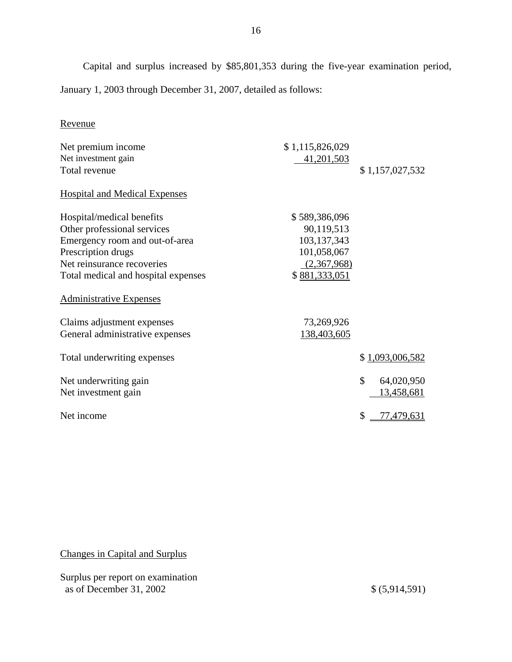<span id="page-17-0"></span>Capital and surplus increased by \$85,801,353 during the five-year examination period, January 1, 2003 through December 31, 2007, detailed as follows:

16

## Revenue

| Net premium income<br>Net investment gain | \$1,115,826,029<br>41,201,503 |                         |
|-------------------------------------------|-------------------------------|-------------------------|
| Total revenue                             |                               | \$1,157,027,532         |
| <b>Hospital and Medical Expenses</b>      |                               |                         |
| Hospital/medical benefits                 | \$589,386,096                 |                         |
| Other professional services               | 90,119,513                    |                         |
| Emergency room and out-of-area            | 103,137,343                   |                         |
| Prescription drugs                        | 101,058,067                   |                         |
| Net reinsurance recoveries                | (2,367,968)                   |                         |
| Total medical and hospital expenses       | \$881,333,051                 |                         |
| <b>Administrative Expenses</b>            |                               |                         |
| Claims adjustment expenses                | 73,269,926                    |                         |
| General administrative expenses           | 138,403,605                   |                         |
| Total underwriting expenses               |                               | \$1,093,006,582         |
| Net underwriting gain                     |                               | \$<br>64,020,950        |
| Net investment gain                       |                               | 13,458,681              |
| Net income                                |                               | \$<br><u>77,479,631</u> |

Changes in Capital and Surplus

Surplus per report on examination as of December 31, 2002 \$ (5,914,591)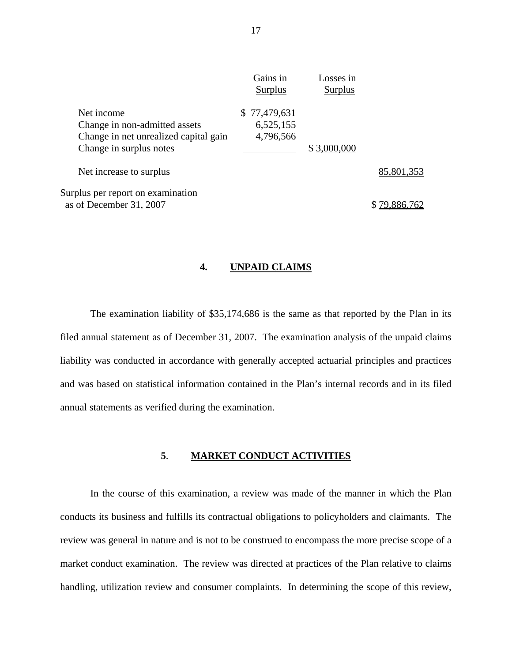|                                       | Gains in<br>Surplus | Losses in<br>Surplus |            |
|---------------------------------------|---------------------|----------------------|------------|
| Net income                            | \$77,479,631        |                      |            |
| Change in non-admitted assets         | 6,525,155           |                      |            |
| Change in net unrealized capital gain | 4,796,566           |                      |            |
| Change in surplus notes               |                     | \$3,000,000          |            |
| Net increase to surplus               |                     |                      | 85,801,353 |
| Surplus per report on examination     |                     |                      |            |
| as of December 31, 2007               |                     |                      |            |
|                                       |                     |                      |            |

## **4. UNPAID CLAIMS**

The examination liability of \$35,174,686 is the same as that reported by the Plan in its filed annual statement as of December 31, 2007. The examination analysis of the unpaid claims liability was conducted in accordance with generally accepted actuarial principles and practices and was based on statistical information contained in the Plan's internal records and in its filed annual statements as verified during the examination.

#### **5**. **MARKET CONDUCT ACTIVITIES**

In the course of this examination, a review was made of the manner in which the Plan conducts its business and fulfills its contractual obligations to policyholders and claimants. The review was general in nature and is not to be construed to encompass the more precise scope of a market conduct examination. The review was directed at practices of the Plan relative to claims handling, utilization review and consumer complaints. In determining the scope of this review,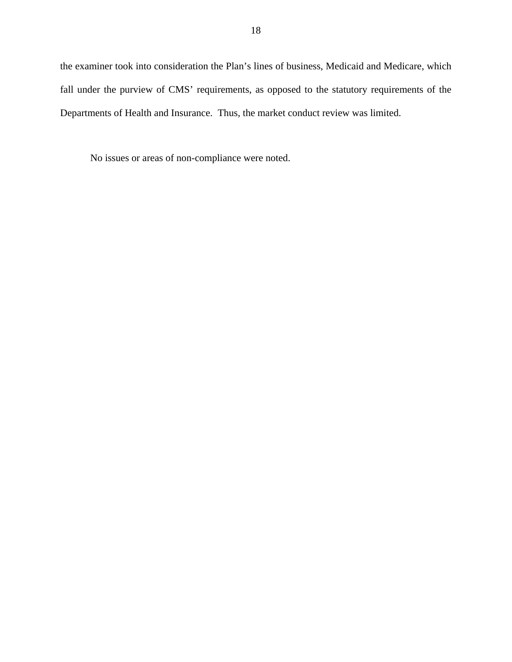the examiner took into consideration the Plan's lines of business, Medicaid and Medicare, which fall under the purview of CMS' requirements, as opposed to the statutory requirements of the Departments of Health and Insurance. Thus, the market conduct review was limited.

No issues or areas of non-compliance were noted.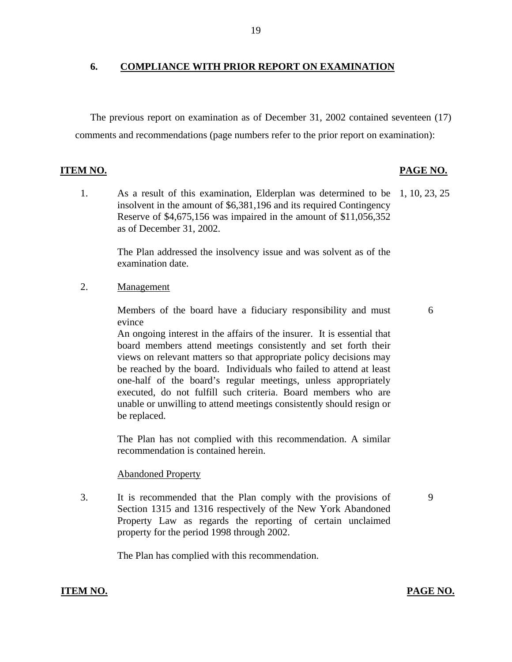### **6. COMPLIANCE WITH PRIOR REPORT ON EXAMINATION**

The previous report on examination as of December 31, 2002 contained seventeen (17) comments and recommendations (page numbers refer to the prior report on examination):

#### **ITEM NO.**

## **PAGE NO.**

1. As a result of this examination, Elderplan was determined to be 1, 10, 23, 25 insolvent in the amount of \$6,381,196 and its required Contingency Reserve of \$4,675,156 was impaired in the amount of \$11,056,352 as of December 31, 2002.

The Plan addressed the insolvency issue and was solvent as of the examination date.

Management

2. Management<br>Members of the board have a fiduciary responsibility and must evince

6

An ongoing interest in the affairs of the insurer. It is essential that board members attend meetings consistently and set forth their views on relevant matters so that appropriate policy decisions may be reached by the board. Individuals who failed to attend at least one-half of the board's regular meetings, unless appropriately executed, do not fulfill such criteria. Board members who are unable or unwilling to attend meetings consistently should resign or be replaced.

The Plan has not complied with this recommendation. A similar recommendation is contained herein.

#### **Abandoned Property**

3. It is recommended that the Plan comply with the provisions of Section 1315 and 1316 respectively of the New York Abandoned Property Law as regards the reporting of certain unclaimed property for the period 1998 through 2002.

The Plan has complied with this recommendation.

## **ITEM NO. PAGE NO.**

9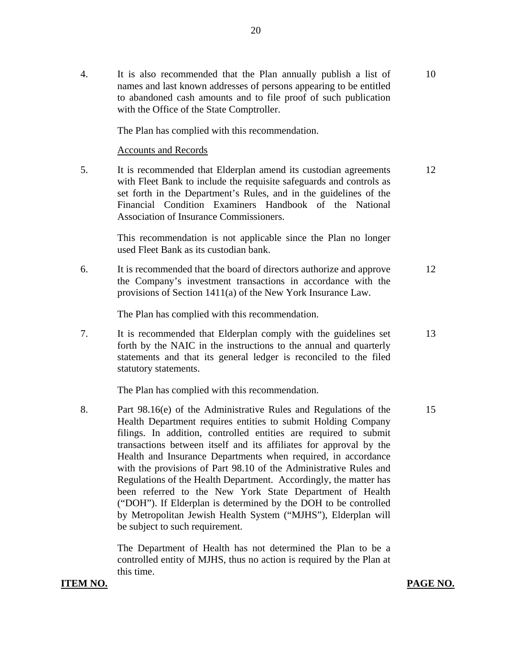4. It is also recommended that the Plan annually publish a list of 10 names and last known addresses of persons appearing to be entitled to abandoned cash amounts and to file proof of such publication with the Office of the State Comptroller.

The Plan has complied with this recommendation.

#### **Accounts and Records**

5. It is recommended that Elderplan amend its custodian agreements 12 with Fleet Bank to include the requisite safeguards and controls as set forth in the Department's Rules, and in the guidelines of the Financial Condition Examiners Handbook of the National Association of Insurance Commissioners.

> This recommendation is not applicable since the Plan no longer used Fleet Bank as its custodian bank.

6. It is recommended that the board of directors authorize and approve 12 the Company's investment transactions in accordance with the provisions of Section 1411(a) of the New York Insurance Law.

The Plan has complied with this recommendation.

7. It is recommended that Elderplan comply with the guidelines set 13 forth by the NAIC in the instructions to the annual and quarterly statements and that its general ledger is reconciled to the filed statutory statements.

The Plan has complied with this recommendation.

8. Part 98.16(e) of the Administrative Rules and Regulations of the 15 Health Department requires entities to submit Holding Company filings. In addition, controlled entities are required to submit transactions between itself and its affiliates for approval by the Health and Insurance Departments when required, in accordance with the provisions of Part 98.10 of the Administrative Rules and Regulations of the Health Department. Accordingly, the matter has been referred to the New York State Department of Health ("DOH"). If Elderplan is determined by the DOH to be controlled by Metropolitan Jewish Health System ("MJHS"), Elderplan will be subject to such requirement.

> The Department of Health has not determined the Plan to be a controlled entity of MJHS, thus no action is required by the Plan at this time.

**ITEM NO. PAGE NO.**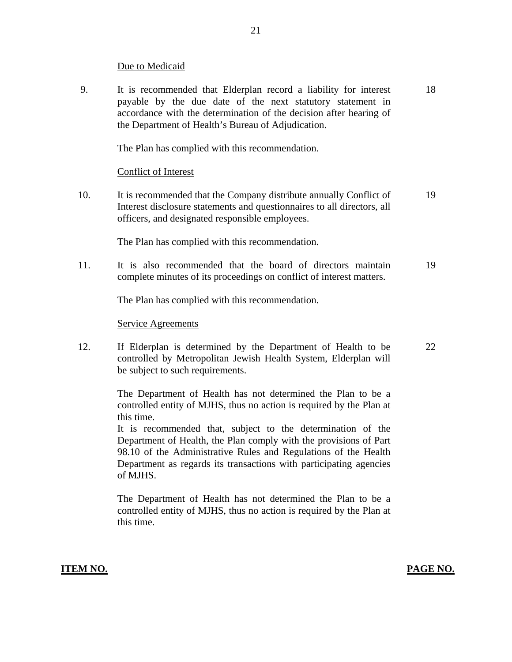#### Due to Medicaid

9. It is recommended that Elderplan record a liability for interest 18 payable by the due date of the next statutory statement in accordance with the determination of the decision after hearing of the Department of Health's Bureau of Adjudication.

The Plan has complied with this recommendation.

## **Conflict of Interest**

10. It is recommended that the Company distribute annually Conflict of 19 Interest disclosure statements and questionnaires to all directors, all officers, and designated responsible employees.

The Plan has complied with this recommendation.

11. It is also recommended that the board of directors maintain 19 complete minutes of its proceedings on conflict of interest matters.

The Plan has complied with this recommendation.

#### **Service Agreements**

12. If Elderplan is determined by the Department of Health to be 22 controlled by Metropolitan Jewish Health System, Elderplan will be subject to such requirements.

> The Department of Health has not determined the Plan to be a controlled entity of MJHS, thus no action is required by the Plan at this time.

> It is recommended that, subject to the determination of the Department of Health, the Plan comply with the provisions of Part 98.10 of the Administrative Rules and Regulations of the Health Department as regards its transactions with participating agencies of MJHS.

> The Department of Health has not determined the Plan to be a controlled entity of MJHS, thus no action is required by the Plan at this time.

## **ITEM NO. PAGE NO. PAGE NO.**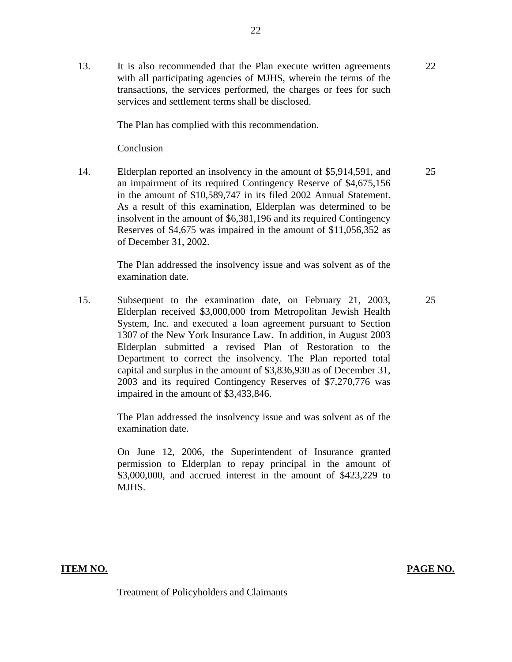The Plan has complied with this recommendation.

#### Conclusion

14. Elderplan reported an insolvency in the amount of \$5,914,591, and an impairment of its required Contingency Reserve of \$4,675,156 in the amount of \$10,589,747 in its filed 2002 Annual Statement. As a result of this examination, Elderplan was determined to be insolvent in the amount of \$6,381,196 and its required Contingency Reserves of \$4,675 was impaired in the amount of \$11,056,352 as of December 31, 2002.

> The Plan addressed the insolvency issue and was solvent as of the examination date.

15. Subsequent to the examination date, on February 21, 2003, Elderplan received \$3,000,000 from Metropolitan Jewish Health System, Inc. and executed a loan agreement pursuant to Section 1307 of the New York Insurance Law. In addition, in August 2003 Elderplan submitted a revised Plan of Restoration to the Department to correct the insolvency. The Plan reported total capital and surplus in the amount of \$3,836,930 as of December 31, 2003 and its required Contingency Reserves of \$7,270,776 was impaired in the amount of \$3,433,846.

> The Plan addressed the insolvency issue and was solvent as of the examination date.

> On June 12, 2006, the Superintendent of Insurance granted permission to Elderplan to repay principal in the amount of \$3,000,000, and accrued interest in the amount of \$423,229 to MJHS.

**ITEM NO. PAGE NO.** 

Treatment of Policyholders and Claimants

25

25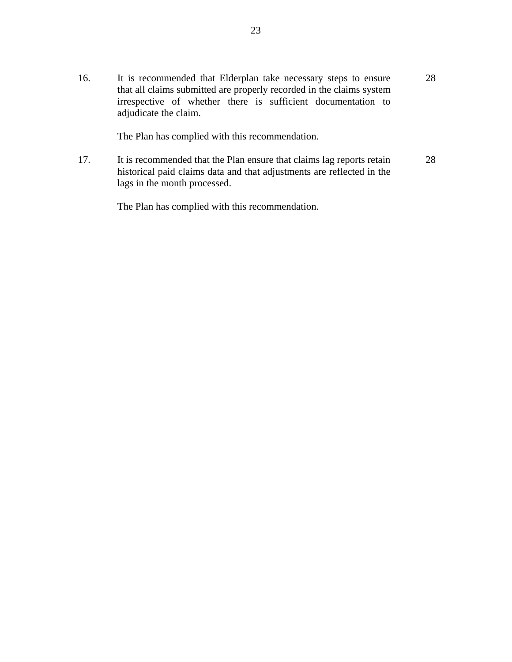16. It is recommended that Elderplan take necessary steps to ensure that all claims submitted are properly recorded in the claims system irrespective of whether there is sufficient documentation to adjudicate the claim. 28

The Plan has complied with this recommendation.

17. It is recommended that the Plan ensure that claims lag reports retain historical paid claims data and that adjustments are reflected in the lags in the month processed. 28

The Plan has complied with this recommendation.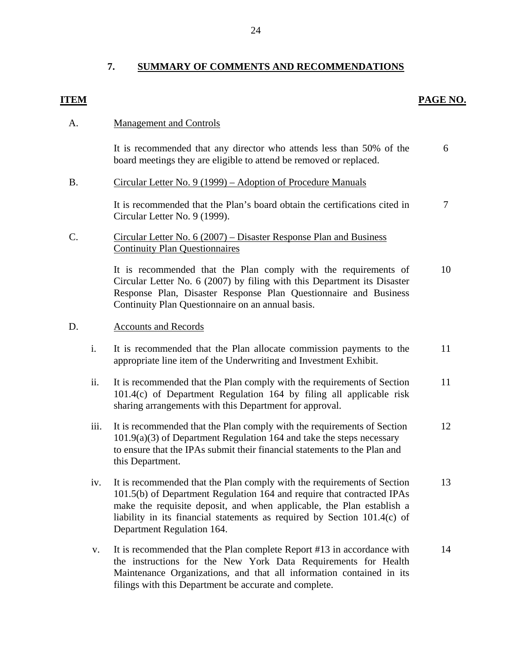## **7. SUMMARY OF COMMENTS AND RECOMMENDATIONS**

## **ITEM**

### **PAGE NO.**

#### A. Management and Controls

It is recommended that any director who attends less than 50% of the board meetings they are eligible to attend be removed or replaced. 6

#### B. Circular Letter No. 9 (1999) – Adoption of Procedure Manuals

It is recommended that the Plan's board obtain the certifications cited in Circular Letter No. 9 (1999). 7

## C. Circular Letter No. 6 (2007) – Disaster Response Plan and Business Continuity Plan Questionnaires

It is recommended that the Plan comply with the requirements of Circular Letter No. 6 (2007) by filing with this Department its Disaster Response Plan, Disaster Response Plan Questionnaire and Business Continuity Plan Questionnaire on an annual basis. 10

#### D. Accounts and Records

- i. It is recommended that the Plan allocate commission payments to the appropriate line item of the Underwriting and Investment Exhibit. 11
- ii. It is recommended that the Plan comply with the requirements of Section 101.4(c) of Department Regulation 164 by filing all applicable risk sharing arrangements with this Department for approval. 11
- iii. It is recommended that the Plan comply with the requirements of Section 101.9(a)(3) of Department Regulation 164 and take the steps necessary to ensure that the IPAs submit their financial statements to the Plan and this Department. 12
- iv. It is recommended that the Plan comply with the requirements of Section 101.5(b) of Department Regulation 164 and require that contracted IPAs make the requisite deposit, and when applicable, the Plan establish a liability in its financial statements as required by Section 101.4(c) of Department Regulation 164. 13
- v. It is recommended that the Plan complete Report #13 in accordance with the instructions for the New York Data Requirements for Health Maintenance Organizations, and that all information contained in its filings with this Department be accurate and complete. 14

24